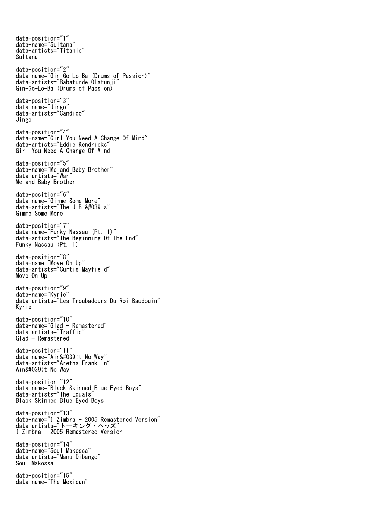data-position="1" data-name="Sultana" data-artists="Titanic" Sultana data-position="2" data-name="Gin-Go-Lo-Ba (Drums of Passion)" data-artists="Babatunde Olatunji" Gin-Go-Lo-Ba (Drums of Passion) data-position="3" data-name="Jingo" data-artists="Candido" Jingo data-position="4" data-name="Girl You Need A Change Of Mind" data-artists="Eddie Kendricks" Girl You Need A Change Of Mind data-position="5" data-name="Me and Baby Brother" data-artists="War" Me and Baby Brother data-position="6" data-name="Gimme Some More" data-artists="The J.B. 's" Gimme Some More data-position="7" data-name="Funky Nassau (Pt. 1)" data-artists="The Beginning Of The End" Funky Nassau (Pt. 1) data-position="8" data-name="Move On Up" data-artists="Curtis Mayfield" Move On Up data-position="9" data-name="Kyrie" data-artists="Les Troubadours Du Roi Baudouin" Kyrie data-position="10" data-name="Glad - Remastered" data-artists="Traffic" Glad - Remastered data-position="11" data-name="Ain't No Way" data-artists="Aretha Franklin" Ain't No Way data-position="12" data-name="Black Skinned Blue Eyed Boys" data-artists="The Equals" Black Skinned Blue Eyed Boys data-position="13" data-name="I Zimbra - 2005 Remastered Version" data-artists="トーキング・ヘッズ" I Zimbra - 2005 Remastered Version data-position="14" data-name="Soul Makossa" data-artists="Manu Dibango" Soul Makossa data-position="15" data-name="The Mexican"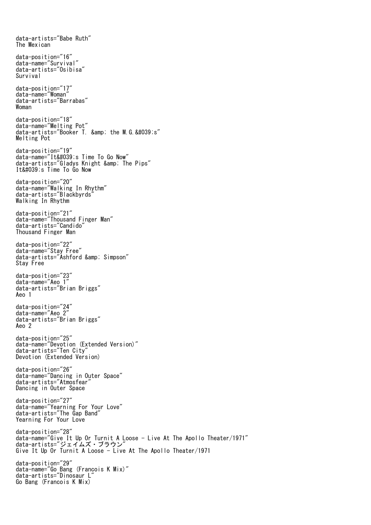data-artists="Babe Ruth" The Mexican data-position="16" data-name="Survival" data-artists="Osibisa" Survival data-position="17" data-name="Woman" data-artists="Barrabas" Woman data-position="18" data-name="Melting Pot" data-artists="Booker T. & amp; the M.G. 's" Melting Pot data-position="19" data-name="It's Time To Go Now" data-artists="Gladys Knight & amp; The Pips" It's Time To Go Now data-position="20" data-name="Walking In Rhythm" data-artists="Blackbyrds" Walking In Rhythm data-position="21" data-name="Thousand Finger Man" data-artists="Candido" Thousand Finger Man data-position="22" data-name="Stay Free" data-artists="Ashford & amp; Simpson" Stay Free data-position="23" data-name="Aeo 1" data-artists="Brian Briggs" Aeo 1 data-position="24" data-name="Aeo 2" data-artists="Brian Briggs" Aeo 2 data-position="25" data-name="Devotion (Extended Version)" data-artists="Ten City" Devotion (Extended Version) data-position="26" data-name="Dancing in Outer Space" data-artists="Atmosfear" Dancing in Outer Space data-position="27" data-name="Yearning For Your Love" data-artists="The Gap Band" Yearning For Your Love data-position="28" data-name="Give It Up Or Turnit A Loose - Live At The Apollo Theater/1971" data-artists="ジェイムズ・ブラウン" Give It Up Or Turnit A Loose - Live At The Apollo Theater/1971 data-position="29" data-name="Go Bang (Francois K Mix)" data-artists="Dinosaur L" Go Bang (Francois K Mix)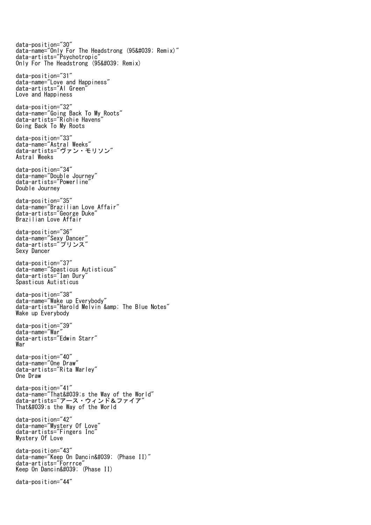data-position="30" data-name="Only For The Headstrong (95' Remix)" data-artists="Psychotropic" Only For The Headstrong (95' Remix) data-position="31" data-name="Love and Happiness" data-artists="Al Green" Love and Happiness data-position="32" data-name="Going Back To My Roots" data-artists="Richie Havens" Going Back To My Roots data-position="33" data-name="Astral Weeks" data-artists="ヴァン・モリソン" Astral Weeks data-position="34" data-name="Double Journey" data-artists="Powerline" Double Journey data-position="35" data-name="Brazilian Love Affair" data-artists="George Duke" Brazilian Love Affair data-position="36" data-name="Sexy Dancer" data-artists="プリンス" Sexy Dancer data-position="37" data-name="Spasticus Autisticus" data-artists="Ian Dury" Spasticus Autisticus data-position="38" data-name="Wake up Everybody" data-artists="Harold Melvin & amp; The Blue Notes" Wake up Everybody data-position="39" data-name="War" data-artists="Edwin Starr" War data-position="40" data-name="One Draw" data-artists="Rita Marley" One Draw data-position="41" data-name="That's the Way of the World" data-artists="アース・ウィンド&ファイア" That's the Way of the World data-position="42" data-name="Mystery Of Love" data-artists="Fingers Inc" Mystery Of Love data-position="43" data-name="Keep On Dancin' (Phase II)" data-artists="Forrrce" Keep On Dancin' (Phase II) data-position="44"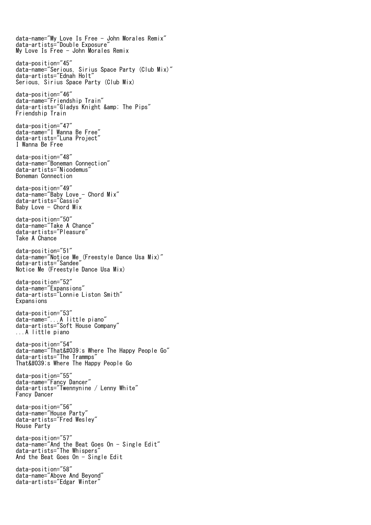data-name="My Love Is Free - John Morales Remix" data-artists="Double Exposure" My Love Is Free - John Morales Remix data-position="45" data-name="Serious, Sirius Space Party (Club Mix)" data-artists="Ednah Holt" Serious, Sirius Space Party (Club Mix) data-position="46" data-name="Friendship Train" data-artists="Gladys Knight & The Pips" Friendship Train data-position="47" data-name="I Wanna Be Free" data-artists="Luna Project" I Wanna Be Free data-position="48" data-name="Boneman Connection" data-artists="Nicodemus" Boneman Connection data-position="49" data-name="Baby Love - Chord Mix" data-artists="Cassio" Baby Love - Chord Mix data-position="50" data-name="Take A Chance" data-artists="Pleasure" Take A Chance data-position="51" data-name="Notice Me (Freestyle Dance Usa Mix)" data-artists="Sandee" Notice Me (Freestyle Dance Usa Mix) data-position="52" data-name="Expansions" data-artists="Lonnie Liston Smith" Expansions data-position="53" data-name="...A little piano" data-artists="Soft House Company" ...A little piano data-position="54" data-name="That's Where The Happy People Go" data-artists="The Trammps" That's Where The Happy People Go data-position="55" data-name="Fancy Dancer" data-artists="Twennynine / Lenny White" Fancy Dancer data-position="56" data-name="House Party" data-artists="Fred Wesley" House Party data-position="57" data-name="And the Beat Goes On - Single Edit" data-artists="The Whispers" And the Beat Goes On - Single Edit data-position="58" data-name="Above And Beyond" data-artists="Edgar Winter"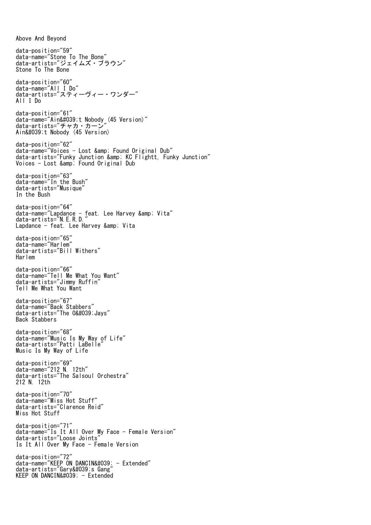data-position="59" data-name="Stone To The Bone" data-artists="ジェイムズ・ブラウン" Stone To The Bone data-position="60" data-name="All I Do" data-artists="スティーヴィー・ワンダー" All I Do data-position="61" data-name="Ain't Nobody (45 Version)" data-artists="チャカ・カーン" Ain't Nobody (45 Version) data-position="62" data-name="Voices - Lost & Found Original Dub" data-artists="Funky Junction & KC Flightt, Funky Junction" Voices - Lost & Found Original Dub data-position="63" data-name="In the Bush" data-artists="Musique" In the Bush data-position="64" data-name="Lapdance - feat. Lee Harvey & Vita" data-artists="N.E.R.D." Lapdance - feat. Lee Harvey & amp; Vita data-position="65" data-name="Harlem" data-artists="Bill Withers" Harlem data-position="66" data-name="Tell Me What You Want" data-artists="Jimmy Ruffin" Tell Me What You Want data-position="67" data-name="Back Stabbers" data-artists="The 0'Javs" Back Stabbers data-position="68" data-name="Music Is My Way of Life" data-artists="Patti LaBelle" Music Is My Way of Life data-position="69" data-name="212 N. 12th" data-artists="The Salsoul Orchestra" 212 N. 12th data-position="70" data-name="Miss Hot Stuff" data-artists="Clarence Reid" Miss Hot Stuff data-position="71" data-name="Is It All Over My Face - Female Version" data-artists="Loose Joints" Is It All Over My Face - Female Version data-position="72"  $data - name = "KEEP ON DANCIN' - Extended"$ data-artists="Gary's Gang" KEEP ON DANCIN' - Extended

Above And Beyond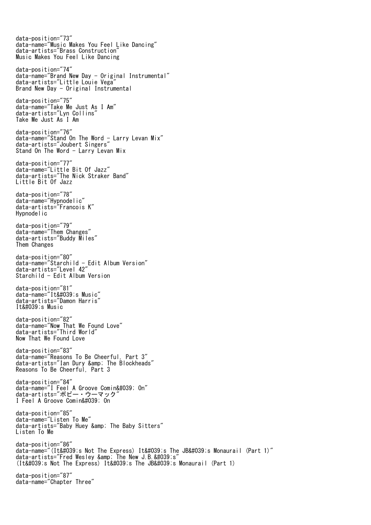data-position="73" data-name="Music Makes You Feel Like Dancing" data-artists="Brass Construction" Music Makes You Feel Like Dancing data-position="74" data-name="Brand New Day - Original Instrumental" data-artists="Little Louie Vega" Brand New Day - Original Instrumental data-position="75" data-name="Take Me Just As I Am" data-artists="Lyn Collins" Take Me Just As I Am data-position="76" data-name="Stand On The Word  $\frac{1}{x}$  Larry Levan Mix" data-artists="Joubert Singers" Stand On The Word - Larry Levan Mix data-position="77" data-name="Little Bit Of Jazz" data-artists="The Nick Straker Band" Little Bit Of Jazz data-position="78" data-name="Hypnodelic" data-artists="Francois K" Hypnodelic data-position="79" data-name="Them Changes" data-artists="Buddy Miles" Them Changes data-position="80" data-name="Starchild - Edit Album Version" data-artists="Level 42" Starchild - Edit Album Version data-position="81" data-name="It's Music" data-artists="Damon Harris" It's Music data-position="82" data-name="Now That We Found Love" data-artists="Third World" Now That We Found Love data-position="83" data-name="Reasons To Be Cheerful, Part 3" data-artists="Ian Dury & The Blockheads" Reasons To Be Cheerful, Part 3 data-position="84" data-name="I Feel A Groove Comin' On" data-artists="ボビー・ウーマック" I Feel A Groove Comin' On data-position="85" data-name="Listen To Me" data-artists="Baby Huey & amp; The Baby Sitters" Listen To Me data-position="86" data-name="(It's Not The Express) It's The JB's Monaurail (Part 1)" data-artists="Fred Wesley & amp; The New J.B. 's' (It's Not The Express) It's The JB's Monaurail (Part 1) data-position="87" data-name="Chapter Three"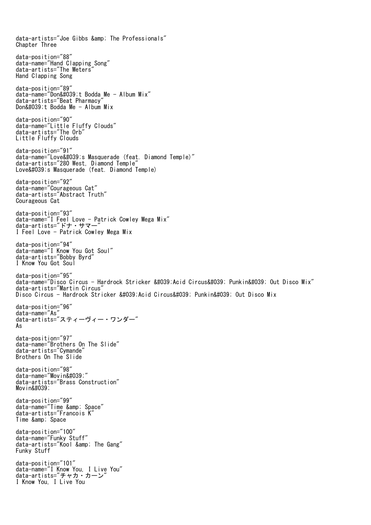data-artists="Joe Gibbs & amp; The Professionals" Chapter Three data-position="88" data-name="Hand Clapping Song" data-artists="The Meters" Hand Clapping Song data-position="89" data-name="Don't Bodda Me - Album Mix" data-artists="Beat Pharmacy" Don't Bodda Me - Album Mix data-position="90" data-name="Little Fluffy Clouds" data-artists="The Orb" Little Fluffy Clouds data-position="91" data-name="Love's Masquerade (feat. Diamond Temple)" data-artists="280 West, Diamond Temple" Love' s Masquerade (feat. Diamond Temple) data-position="92" data-name="Courageous Cat" data-artists="Abstract Truth" Courageous Cat data-position="93" data-name="I Feel Love - Patrick Cowley Mega Mix" data-artists="ドナ・サマー" I Feel Love - Patrick Cowley Mega Mix data-position="94" data-name="I Know You Got Soul" data-artists="Bobby Byrd" I Know You Got Soul data-position="95" data-name="Disco Circus - Hardrock Stricker 'Acid Circus' Punkin' Out Disco Mix" data-artists="Martin Circus" Disco Circus - Hardrock Stricker 'Acid Circus' Punkin' Out Disco Mix data-position="96" data-name="As" data-artists="スティーヴィー・ワンダー" As data-position="97" data-name="Brothers On The Slide" data-artists="Cymande" Brothers On The Slide data-position="98" data-name="Movin'" data-artists="Brass Construction"  $Movin\'$ data-position="99" data-name="Time & amp; Space" data-artists="Francois K" Time & amp; Space data-position="100" data-name="Funky Stuff" data-artists="Kool & amp; The Gang" Funky Stuff data-position="101" data-name="I Know You, I Live You" data-artists="チャカ・カーン" I Know You, I Live You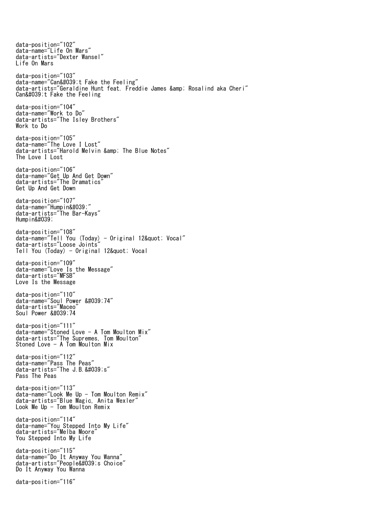data-position="102" data-name="Life On Mars" data-artists="Dexter Wansel" Life On Mars data-position="103" data-name="Can't Fake the Feeling" data-artists="Geraldine Hunt feat. Freddie James & amp; Rosalind aka Cheri" Can't Fake the Feeling data-position="104" data-name="Work to Do" data-artists="The Isley Brothers" Work to Do data-position="105" data-name="The Love I Lost" data-artists="Harold Melvin & amp; The Blue Notes" The Love I Lost data-position="106" data-name="Get Up And Get Down" data-artists="The Dramatics" Get Up And Get Down data-position="107" data-name="Humpin'" data-artists="The Bar-Kays" Hump i n' data-position="108" data-name="Tell You (Today) - Original 12" Vocal" data-artists="Loose Joints" Tell You (Today) - Original 12& quot; Vocal data-position="109" data-name="Love Is the Message" data-artists="MFSB" Love Is the Message data-position="110" data-name="Soul Power '74" data-artists="Maceo" Soul Power &#039:74 data-position="111" data-name="Stoned Love - A Tom Moulton Mix" data-artists="The Supremes, Tom Moulton" Stoned Love - A Tom Moulton Mix data-position="112" data-name="Pass The Peas" data-artists="The J.B.'s" Pass The Peas data-position="113" data-name="Look Me Up - Tom Moulton Remix" data-artists="Blue Magic, Anita Wexler" Look Me Up  $-$  Tom Moulton Remix data-position="114" data-name="You Stepped Into My Life" data-artists="Melba Moore" You Stepped Into My Life data-position="115" data-name="Do It Anyway You Wanna" data-artists="People's Choice" Do It Anyway You Wanna data-position="116"